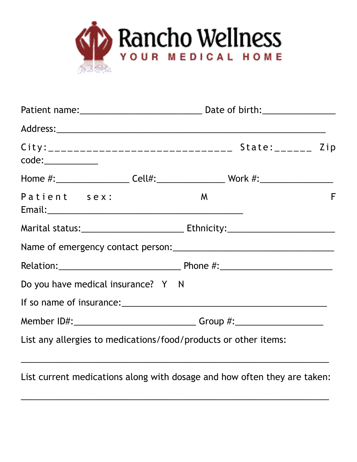

| Patient sex:                                                    | F<br>M |  |  |  |
|-----------------------------------------------------------------|--------|--|--|--|
|                                                                 |        |  |  |  |
|                                                                 |        |  |  |  |
|                                                                 |        |  |  |  |
| Do you have medical insurance? Y N                              |        |  |  |  |
|                                                                 |        |  |  |  |
|                                                                 |        |  |  |  |
| List any allergies to medications/food/products or other items: |        |  |  |  |

List current medications along with dosage and how often they are taken:

\_\_\_\_\_\_\_\_\_\_\_\_\_\_\_\_\_\_\_\_\_\_\_\_\_\_\_\_\_\_\_\_\_\_\_\_\_\_\_\_\_\_\_\_\_\_\_\_\_\_\_\_\_\_\_\_\_\_\_\_\_\_\_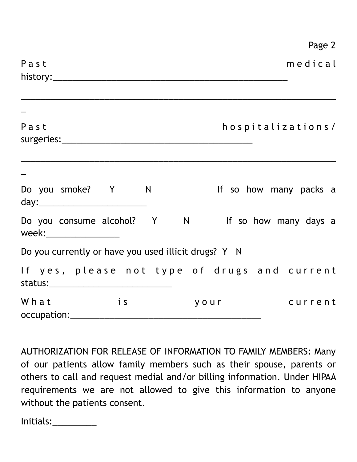|                                                                              |                         |      | Page 2                 |  |
|------------------------------------------------------------------------------|-------------------------|------|------------------------|--|
| Past                                                                         |                         |      | medical                |  |
| Past                                                                         |                         |      | hospitalizations/      |  |
| Do you smoke? Y N                                                            |                         |      | If so how many packs a |  |
| Do you consume alcohol? Y N If so how many days a<br>week:__________________ |                         |      |                        |  |
| Do you currently or have you used illicit drugs? Y N                         |                         |      |                        |  |
| If yes, please not type of drugs and current                                 |                         |      |                        |  |
| What                                                                         | $\overline{\mathbf{i}}$ | your | current                |  |

AUTHORIZATION FOR RELEASE OF INFORMATION TO FAMILY MEMBERS: Many of our patients allow family members such as their spouse, parents or others to call and request medial and/or billing information. Under HIPAA requirements we are not allowed to give this information to anyone without the patients consent.

Initials:\_\_\_\_\_\_\_\_\_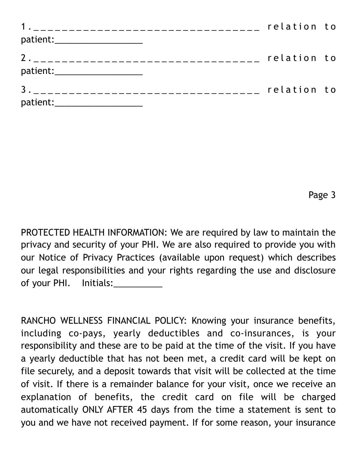|                                | relation to |  |
|--------------------------------|-------------|--|
| patient:______________________ |             |  |
| patient:_____________________  | relation to |  |
| patient:______________________ | relation to |  |

Page 3

PROTECTED HEALTH INFORMATION: We are required by law to maintain the privacy and security of your PHI. We are also required to provide you with our Notice of Privacy Practices (available upon request) which describes our legal responsibilities and your rights regarding the use and disclosure of your PHI. Initials:

RANCHO WELLNESS FINANCIAL POLICY: Knowing your insurance benefits, including co-pays, yearly deductibles and co-insurances, is your responsibility and these are to be paid at the time of the visit. If you have a yearly deductible that has not been met, a credit card will be kept on file securely, and a deposit towards that visit will be collected at the time of visit. If there is a remainder balance for your visit, once we receive an explanation of benefits, the credit card on file will be charged automatically ONLY AFTER 45 days from the time a statement is sent to you and we have not received payment. If for some reason, your insurance